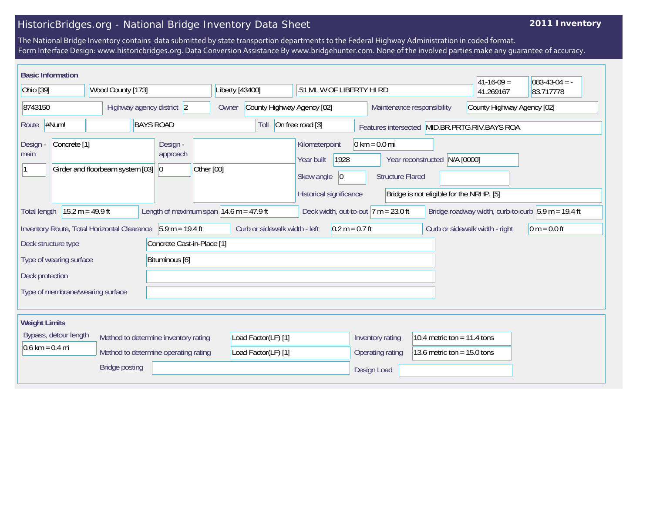## HistoricBridges.org - National Bridge Inventory Data Sheet

## **2011 Inventory**

The National Bridge Inventory contains data submitted by state transportion departments to the Federal Highway Administration in coded format. Form Interface Design: www.historicbridges.org. Data Conversion Assistance By www.bridgehunter.com. None of the involved parties make any guarantee of accuracy.

| <b>Basic Information</b>                                                  |                                                                         |                                                             |                               |                                                                                      |                                                            |                                                                           | $ 41-16-09 $                                  | $083-43-04 = -$                                      |  |
|---------------------------------------------------------------------------|-------------------------------------------------------------------------|-------------------------------------------------------------|-------------------------------|--------------------------------------------------------------------------------------|------------------------------------------------------------|---------------------------------------------------------------------------|-----------------------------------------------|------------------------------------------------------|--|
| Ohio [39]                                                                 | Wood County [173]                                                       | Liberty [43400]                                             |                               |                                                                                      | .51 ML W OF LIBERTY HI RD                                  |                                                                           | 41.269167                                     | 83.717778                                            |  |
| 8743150                                                                   | Highway agency district 2                                               | Owner                                                       | County Highway Agency [02]    |                                                                                      | County Highway Agency [02]<br>Maintenance responsibility   |                                                                           |                                               |                                                      |  |
| #Num!<br>Route                                                            | <b>BAYS ROAD</b>                                                        |                                                             | Toll                          | On free road [3]                                                                     |                                                            |                                                                           | Features intersected MID.BR.PRTG.RIV.BAYS ROA |                                                      |  |
| Concrete <sup>[1]</sup><br>Design<br>main                                 | Design -<br>approach<br>Girder and floorbeam system [03]<br>$ 0\rangle$ | Other [00]                                                  |                               | Kilometerpoint<br>1928<br>Year built<br>Skew angle<br> 0 <br>Historical significance | $0 \text{ km} = 0.0 \text{ mi}$<br><b>Structure Flared</b> | Year reconstructed N/A [0000]<br>Bridge is not eligible for the NRHP. [5] |                                               |                                                      |  |
| <b>Total length</b>                                                       | $15.2 m = 49.9 ft$                                                      | Length of maximum span $ 14.6 \text{ m} = 47.9 \text{ ft} $ |                               | Deck width, out-to-out $ 7 m = 23.0$ ft                                              |                                                            |                                                                           |                                               | Bridge roadway width, curb-to-curb $5.9 m = 19.4 ft$ |  |
| Deck structure type                                                       | Inventory Route, Total Horizontal Clearance $\vert$ 5.9 m = 19.4 ft     | Concrete Cast-in-Place [1]                                  | Curb or sidewalk width - left | $0.2 m = 0.7 ft$                                                                     |                                                            |                                                                           | Curb or sidewalk width - right                | $0 m = 0.0 ft$                                       |  |
| Type of wearing surface                                                   | Bituminous [6]                                                          |                                                             |                               |                                                                                      |                                                            |                                                                           |                                               |                                                      |  |
| Deck protection                                                           |                                                                         |                                                             |                               |                                                                                      |                                                            |                                                                           |                                               |                                                      |  |
| Type of membrane/wearing surface                                          |                                                                         |                                                             |                               |                                                                                      |                                                            |                                                                           |                                               |                                                      |  |
| <b>Weight Limits</b>                                                      |                                                                         |                                                             |                               |                                                                                      |                                                            |                                                                           |                                               |                                                      |  |
| Bypass, detour length                                                     | Method to determine inventory rating                                    |                                                             | Load Factor(LF) [1]           |                                                                                      | Inventory rating                                           | 10.4 metric ton = $11.4$ tons                                             |                                               |                                                      |  |
| $0.6 \text{ km} = 0.4 \text{ mi}$<br>Method to determine operating rating |                                                                         |                                                             | Load Factor(LF) [1]           |                                                                                      | Operating rating                                           | 13.6 metric ton = $15.0$ tons                                             |                                               |                                                      |  |
|                                                                           | <b>Bridge posting</b>                                                   |                                                             |                               |                                                                                      | Design Load                                                |                                                                           |                                               |                                                      |  |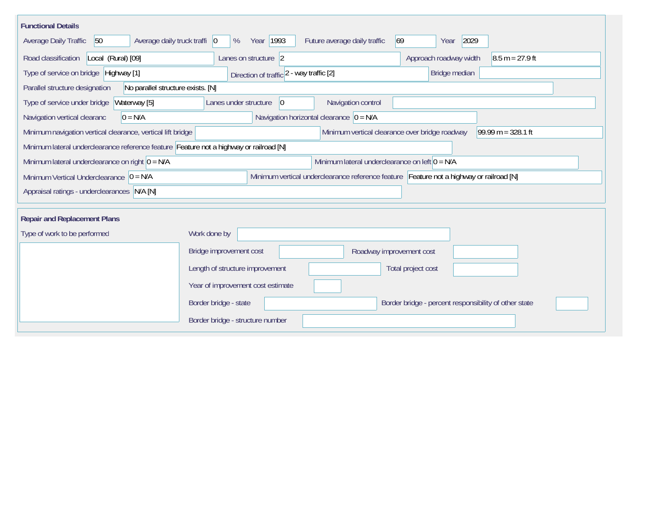| <b>Functional Details</b>                                                              |                                                                                         |                                                                        |  |  |  |  |  |  |  |
|----------------------------------------------------------------------------------------|-----------------------------------------------------------------------------------------|------------------------------------------------------------------------|--|--|--|--|--|--|--|
| 50<br>Average daily truck traffi   0<br>Average Daily Traffic                          | Year 1993<br>Future average daily traffic<br>%                                          | 2029<br>69<br>Year                                                     |  |  |  |  |  |  |  |
| Road classification<br>Local (Rural) [09]                                              | Approach roadway width<br>$8.5 m = 27.9 ft$                                             |                                                                        |  |  |  |  |  |  |  |
| Type of service on bridge Highway [1]                                                  | Direction of traffic 2 - way traffic [2]                                                | Bridge median                                                          |  |  |  |  |  |  |  |
| Parallel structure designation                                                         | No parallel structure exists. [N]                                                       |                                                                        |  |  |  |  |  |  |  |
| Type of service under bridge<br>Waterway [5]                                           | Navigation control<br>Lanes under structure<br>$ 0\rangle$                              |                                                                        |  |  |  |  |  |  |  |
| Navigation vertical clearanc<br>$0 = N/A$                                              | Navigation horizontal clearance $ 0 = N/A$                                              |                                                                        |  |  |  |  |  |  |  |
| Minimum navigation vertical clearance, vertical lift bridge                            |                                                                                         | Minimum vertical clearance over bridge roadway<br>$99.99 m = 328.1 ft$ |  |  |  |  |  |  |  |
| Minimum lateral underclearance reference feature Feature not a highway or railroad [N] |                                                                                         |                                                                        |  |  |  |  |  |  |  |
| Minimum lateral underclearance on right $0 = N/A$                                      | Minimum lateral underclearance on left $0 = N/A$                                        |                                                                        |  |  |  |  |  |  |  |
| Minimum Vertical Underclearance $ 0 = N/A$                                             | Minimum vertical underclearance reference feature Feature not a highway or railroad [N] |                                                                        |  |  |  |  |  |  |  |
| Appraisal ratings - underclearances N/A [N]                                            |                                                                                         |                                                                        |  |  |  |  |  |  |  |
|                                                                                        |                                                                                         |                                                                        |  |  |  |  |  |  |  |
| <b>Repair and Replacement Plans</b>                                                    |                                                                                         |                                                                        |  |  |  |  |  |  |  |
| Type of work to be performed                                                           | Work done by                                                                            |                                                                        |  |  |  |  |  |  |  |
|                                                                                        | Bridge improvement cost<br>Roadway improvement cost                                     |                                                                        |  |  |  |  |  |  |  |
|                                                                                        | Length of structure improvement<br>Total project cost                                   |                                                                        |  |  |  |  |  |  |  |
|                                                                                        | Year of improvement cost estimate                                                       |                                                                        |  |  |  |  |  |  |  |
|                                                                                        | Border bridge - state                                                                   | Border bridge - percent responsibility of other state                  |  |  |  |  |  |  |  |
|                                                                                        | Border bridge - structure number                                                        |                                                                        |  |  |  |  |  |  |  |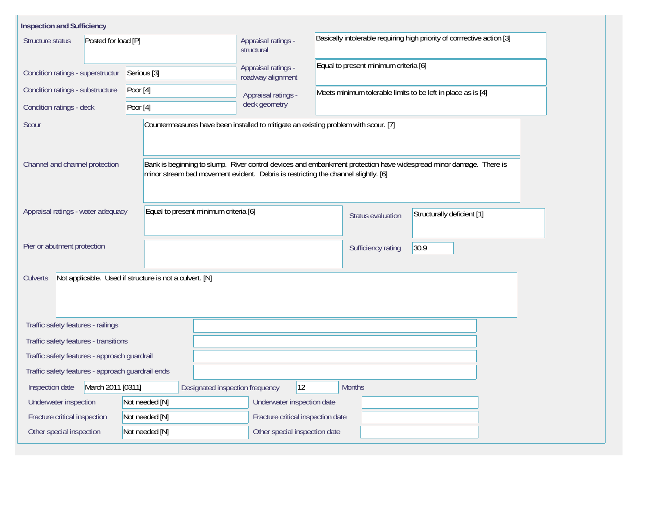| <b>Inspection and Sufficiency</b>                                                            |                                                                                    |                                          |                                                                                                                    |  |  |  |  |
|----------------------------------------------------------------------------------------------|------------------------------------------------------------------------------------|------------------------------------------|--------------------------------------------------------------------------------------------------------------------|--|--|--|--|
| Structure status<br>Posted for load [P]                                                      |                                                                                    | Appraisal ratings -<br>structural        | Basically intolerable requiring high priority of corrrective action [3]                                            |  |  |  |  |
| Condition ratings - superstructur                                                            | Serious <sup>[3]</sup>                                                             | Appraisal ratings -<br>roadway alignment | Equal to present minimum criteria [6]                                                                              |  |  |  |  |
| Condition ratings - substructure                                                             | Poor $[4]$                                                                         | Appraisal ratings -                      | Meets minimum tolerable limits to be left in place as is [4]                                                       |  |  |  |  |
| Condition ratings - deck                                                                     | Poor $[4]$                                                                         | deck geometry                            |                                                                                                                    |  |  |  |  |
| Countermeasures have been installed to mitigate an existing problem with scour. [7]<br>Scour |                                                                                    |                                          |                                                                                                                    |  |  |  |  |
| Channel and channel protection                                                               | minor stream bed movement evident. Debris is restricting the channel slightly. [6] |                                          | Bank is beginning to slump. River control devices and embankment protection have widespread minor damage. There is |  |  |  |  |
| Equal to present minimum criteria [6]<br>Appraisal ratings - water adequacy                  |                                                                                    |                                          | Structurally deficient [1]<br>Status evaluation                                                                    |  |  |  |  |
| Pier or abutment protection                                                                  |                                                                                    |                                          | 30.9<br>Sufficiency rating                                                                                         |  |  |  |  |
| Not applicable. Used if structure is not a culvert. [N]<br><b>Culverts</b>                   |                                                                                    |                                          |                                                                                                                    |  |  |  |  |
| Traffic safety features - railings                                                           |                                                                                    |                                          |                                                                                                                    |  |  |  |  |
| Traffic safety features - transitions                                                        |                                                                                    |                                          |                                                                                                                    |  |  |  |  |
| Traffic safety features - approach guardrail                                                 |                                                                                    |                                          |                                                                                                                    |  |  |  |  |
| Traffic safety features - approach guardrail ends                                            |                                                                                    |                                          |                                                                                                                    |  |  |  |  |
| March 2011 [0311]<br>Inspection date                                                         | Designated inspection frequency                                                    | $ 12\rangle$                             | <b>Months</b>                                                                                                      |  |  |  |  |
| Underwater inspection                                                                        | Not needed [N]                                                                     | Underwater inspection date               |                                                                                                                    |  |  |  |  |
| Fracture critical inspection                                                                 | Not needed [N]                                                                     | Fracture critical inspection date        |                                                                                                                    |  |  |  |  |
| Other special inspection                                                                     | Not needed [N]                                                                     | Other special inspection date            |                                                                                                                    |  |  |  |  |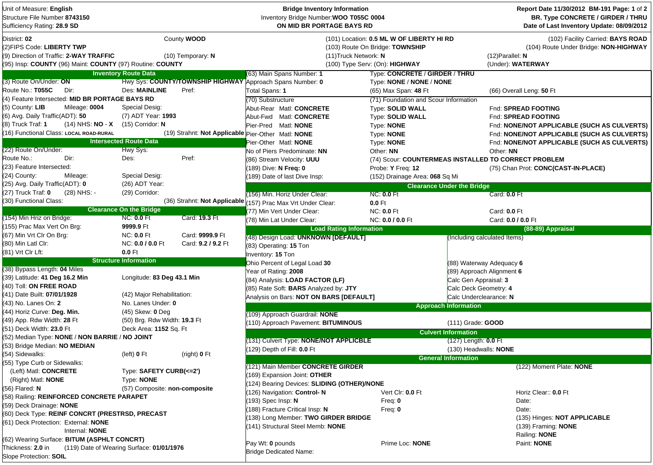| Unit of Measure: English<br>Structure File Number 8743150<br>Sufficiency Rating: 28.9 SD                                                          |                                |                                                    | <b>Bridge Inventory Information</b><br>Inventory Bridge Number: WOO T055C 0004<br>ON MID BR PORTAGE BAYS RD                             |                                       |                              | Report Date 11/30/2012 BM-191 Page: 1 of 2<br>BR. Type CONCRETE / GIRDER / THRU<br>Date of Last Inventory Update: 08/09/2012 |  |  |
|---------------------------------------------------------------------------------------------------------------------------------------------------|--------------------------------|----------------------------------------------------|-----------------------------------------------------------------------------------------------------------------------------------------|---------------------------------------|------------------------------|------------------------------------------------------------------------------------------------------------------------------|--|--|
| District: 02<br>(2)FIPS Code: LIBERTY TWP<br>(9) Direction of Traffic: 2-WAY TRAFFIC<br>(95) Insp: COUNTY (96) Maint: COUNTY (97) Routine: COUNTY |                                | County WOOD<br>$(10)$ Temporary: N                 | (101) Location: 0.5 ML W OF LIBERTY HI RD<br>(103) Route On Bridge: TOWNSHIP<br>(11) Truck Network: N<br>(100) Type Serv: (On): HIGHWAY |                                       |                              | (102) Facility Carried: BAYS ROAD<br>(104) Route Under Bridge: NON-HIGHWAY<br>$(12)$ Parallel: N<br>(Under): WATERWAY        |  |  |
|                                                                                                                                                   | <b>Inventory Route Data</b>    |                                                    | (63) Main Spans Number: 1                                                                                                               | Type: CONCRETE / GIRDER / THRU        |                              |                                                                                                                              |  |  |
| (3) Route On/Under: ON                                                                                                                            |                                |                                                    | Hwy Sys: COUNTY/TOWNSHIP HIGHWAY Approach Spans Number: 0                                                                               | Type: NONE / NONE / NONE              |                              |                                                                                                                              |  |  |
| Route No.: T055C<br>Dir:                                                                                                                          | <b>Des: MAINLINE</b>           | Pref:                                              | Total Spans: 1                                                                                                                          | (65) Max Span: 48 Ft                  |                              | (66) Overall Leng: 50 Ft                                                                                                     |  |  |
| (4) Feature Intersected: MID BR PORTAGE BAYS RD                                                                                                   |                                |                                                    | (70) Substructure                                                                                                                       | (71) Foundation and Scour Information |                              |                                                                                                                              |  |  |
| (5) County: LIB<br>Mileage: 0004                                                                                                                  | Special Desig:                 |                                                    | Abut-Rear Matl: CONCRETE                                                                                                                | <b>Type: SOLID WALL</b>               |                              | Fnd: SPREAD FOOTING                                                                                                          |  |  |
| (6) Avg. Daily Traffic(ADT): 50                                                                                                                   | (7) ADT Year: 1993             |                                                    | Abut-Fwd Matl: CONCRETE                                                                                                                 | Type: SOLID WALL                      |                              | Fnd: SPREAD FOOTING                                                                                                          |  |  |
| (14) NHS: NO - X<br>(8) Truck Traf: 1                                                                                                             | (15) Corridor: N               |                                                    | Pier-Pred Matl: NONE                                                                                                                    | Type: <b>NONE</b>                     |                              | Fnd: NONE/NOT APPLICABLE (SUCH AS CULVERTS)                                                                                  |  |  |
| (16) Functional Class: LOCAL ROAD-RURAL                                                                                                           |                                | (19) Strahnt: Not Applicable Pier-Other Matl: NONE |                                                                                                                                         | Type: NONE                            |                              | Fnd: NONE/NOT APPLICABLE (SUCH AS CULVERTS)                                                                                  |  |  |
|                                                                                                                                                   | <b>Intersected Route Data</b>  |                                                    | Pier-Other Matl: NONE                                                                                                                   | Type: NONE                            |                              | Fnd: NONE/NOT APPLICABLE (SUCH AS CULVERTS)                                                                                  |  |  |
| (22) Route On/Under:                                                                                                                              | Hwy Sys:                       |                                                    | No of Piers Predominate: NN                                                                                                             | Other: NN                             |                              | Other: NN                                                                                                                    |  |  |
| Route No.:<br>Dir:                                                                                                                                | Des:                           | Pref:                                              | (86) Stream Velocity: UUU                                                                                                               |                                       |                              | (74) Scour: COUNTERMEAS INSTALLED TO CORRECT PROBLEM                                                                         |  |  |
| (23) Feature Intersected:                                                                                                                         |                                |                                                    | 189) Dive: N Freq: 0                                                                                                                    | Probe: Y Freq: 12                     |                              | (75) Chan Prot: CONC(CAST-IN-PLACE)                                                                                          |  |  |
| (24) County:<br>Mileage:                                                                                                                          | Special Desig:                 |                                                    | 189) Date of last Dive Insp:                                                                                                            | (152) Drainage Area: 068 Sq Mi        |                              |                                                                                                                              |  |  |
| (25) Avg. Daily Traffic(ADT): 0                                                                                                                   | (26) ADT Year:                 |                                                    |                                                                                                                                         | <b>Clearance Under the Bridge</b>     |                              |                                                                                                                              |  |  |
| (27) Truck Traf: 0<br>(28) NHS: -                                                                                                                 | (29) Corridor:                 |                                                    | (156) Min. Horiz Under Clear:                                                                                                           | <b>NC: 0.0 Ft</b>                     |                              | Card: 0.0 Ft                                                                                                                 |  |  |
| (30) Functional Class:                                                                                                                            |                                | (36) Strahnt: Not Applicable $\sqrt{ }$            | 157) Prac Max Vrt Under Clear:                                                                                                          | $0.0$ Ft                              |                              |                                                                                                                              |  |  |
|                                                                                                                                                   | <b>Clearance On the Bridge</b> |                                                    | (77) Min Vert Under Clear:                                                                                                              | <b>NC: 0.0 Ft</b>                     |                              | Card: 0.0 Ft                                                                                                                 |  |  |
| (154) Min Hriz on Bridge:                                                                                                                         | <b>NC: 0.0 Ft</b>              | Card: 19.3 Ft                                      | (78) Min Lat Under Clear:                                                                                                               | NC: 0.0 / 0.0 Ft                      |                              | Card: 0.0 / 0.0 Ft                                                                                                           |  |  |
| (155) Prac Max Vert On Brg:                                                                                                                       | 9999.9 Ft                      |                                                    | <b>Load Rating Information</b>                                                                                                          |                                       |                              | (88-89) Appraisal                                                                                                            |  |  |
| (67) Min Vrt Clr On Brg:                                                                                                                          | <b>NC: 0.0 Ft</b>              | Card: 9999.9 Ft                                    | (48) Design Load: UNKNOWN [DEFAULT]                                                                                                     |                                       | (Including calculated Items) |                                                                                                                              |  |  |
| (80) Min Latl Clr:                                                                                                                                | NC: 0.0 / 0.0 Ft               | Card: 9.2 / 9.2 Ft                                 | (83) Operating: 15 Ton                                                                                                                  |                                       |                              |                                                                                                                              |  |  |
| (81) Vrt Clr Lft:                                                                                                                                 | $0.0$ Ft                       |                                                    | Inventory: 15 Ton                                                                                                                       |                                       |                              |                                                                                                                              |  |  |
|                                                                                                                                                   | <b>Structure Information</b>   |                                                    | Ohio Percent of Legal Load 30                                                                                                           |                                       | (88) Waterway Adequacy 6     |                                                                                                                              |  |  |
| (38) Bypass Length: 04 Miles                                                                                                                      |                                |                                                    | Year of Rating: 2008                                                                                                                    |                                       | (89) Approach Alignment 6    |                                                                                                                              |  |  |
| (39) Latitude: 41 Deg 16.2 Min                                                                                                                    | Longitude: 83 Deg 43.1 Min     |                                                    | (84) Analysis: LOAD FACTOR (LF)                                                                                                         |                                       | Calc Gen Appraisal: 3        |                                                                                                                              |  |  |
| (40) Toll: ON FREE ROAD                                                                                                                           |                                |                                                    | (85) Rate Soft: BARS Analyzed by: JTY                                                                                                   |                                       | Calc Deck Geometry: 4        |                                                                                                                              |  |  |
| (41) Date Built: 07/01/1928                                                                                                                       | (42) Major Rehabilitation:     |                                                    | Analysis on Bars: NOT ON BARS [DEFAULT]                                                                                                 |                                       | Calc Underclearance: N       |                                                                                                                              |  |  |
| (43)  No. Lanes On: <b>2</b>                                                                                                                      | No. Lanes Under: 0             |                                                    |                                                                                                                                         |                                       | <b>Approach Information</b>  |                                                                                                                              |  |  |
| (44) Horiz Curve: Deg. Min.                                                                                                                       | (45) Skew: 0 Deg               |                                                    | (109) Approach Guardrail: NONE                                                                                                          |                                       |                              |                                                                                                                              |  |  |
| (49) App. Rdw Width: 28 Ft                                                                                                                        | (50) Brg. Rdw Width: 19.3 Ft   |                                                    | 110) Approach Pavement: BITUMINOUS                                                                                                      |                                       | (111) Grade: GOOD            |                                                                                                                              |  |  |
| (51) Deck Width: 23.0 Ft                                                                                                                          | Deck Area: 1152 Sq. Ft         |                                                    |                                                                                                                                         |                                       |                              |                                                                                                                              |  |  |
| (52) Median Type: NONE / NON BARRIE / NO JOINT                                                                                                    |                                |                                                    |                                                                                                                                         |                                       | <b>Culvert Information</b>   |                                                                                                                              |  |  |
| (53) Bridge Median: NO MEDIAN                                                                                                                     |                                |                                                    | (131) Culvert Type: NONE/NOT APPLICBLE                                                                                                  |                                       | (127) Length: 0.0 Ft         |                                                                                                                              |  |  |
| (54) Sidewalks:                                                                                                                                   | (left) $0$ Ft                  | (right) 0 Ft                                       | 129) Depth of Fill: 0.0 Ft                                                                                                              |                                       | (130) Headwalls: <b>NONE</b> |                                                                                                                              |  |  |
| (55) Type Curb or Sidewalks:                                                                                                                      |                                |                                                    |                                                                                                                                         |                                       | <b>General Information</b>   |                                                                                                                              |  |  |
| (Left) Matl: CONCRETE                                                                                                                             | Type: SAFETY CURB(<=2')        |                                                    | (121) Main Member CONCRETE GIRDER                                                                                                       |                                       |                              | (122) Moment Plate: NONE                                                                                                     |  |  |
| (Right) Matl: <b>NONE</b>                                                                                                                         | Type: NONE                     |                                                    | 169) Expansion Joint: OTHER                                                                                                             |                                       |                              |                                                                                                                              |  |  |
| (56) Flared: N                                                                                                                                    | (57) Composite: non-composite  |                                                    | 124) Bearing Devices: SLIDING (OTHER)/NONE                                                                                              |                                       |                              |                                                                                                                              |  |  |
| (58) Railing: REINFORCED CONCRETE PARAPET                                                                                                         |                                |                                                    | 126) Navigation: Control-N                                                                                                              | Vert Clr: 0.0 Ft                      |                              | Horiz Clear:: 0.0 Ft                                                                                                         |  |  |
| (59) Deck Drainage: NONE                                                                                                                          |                                |                                                    | 193) Spec Insp: N                                                                                                                       | Freq: 0                               |                              | Date:                                                                                                                        |  |  |
| (60) Deck Type: REINF CONCRT (PRESTRSD, PRECAST                                                                                                   |                                |                                                    | 188) Fracture Critical Insp: N                                                                                                          | Freq: $0$                             |                              | Date:                                                                                                                        |  |  |
| (61) Deck Protection: External: NONE                                                                                                              |                                |                                                    | 138) Long Member: TWO GIRDER BRIDGE                                                                                                     |                                       |                              | (135) Hinges: NOT APPLICABLE                                                                                                 |  |  |
| Internal: NONE                                                                                                                                    |                                |                                                    | 141) Structural Steel Memb: NONE                                                                                                        |                                       |                              | (139) Framing: NONE                                                                                                          |  |  |
| (62) Wearing Surface: BITUM (ASPHLT CONCRT)                                                                                                       |                                |                                                    |                                                                                                                                         |                                       |                              | Railing: NONE                                                                                                                |  |  |
| Thickness: 2.0 in<br>(119) Date of Wearing Surface: 01/01/1976                                                                                    |                                |                                                    | Pay Wt: 0 pounds                                                                                                                        | Prime Loc: NONE                       |                              | Paint: NONE                                                                                                                  |  |  |
| Slope Protection: SOIL                                                                                                                            |                                |                                                    | <b>Bridge Dedicated Name:</b>                                                                                                           |                                       |                              |                                                                                                                              |  |  |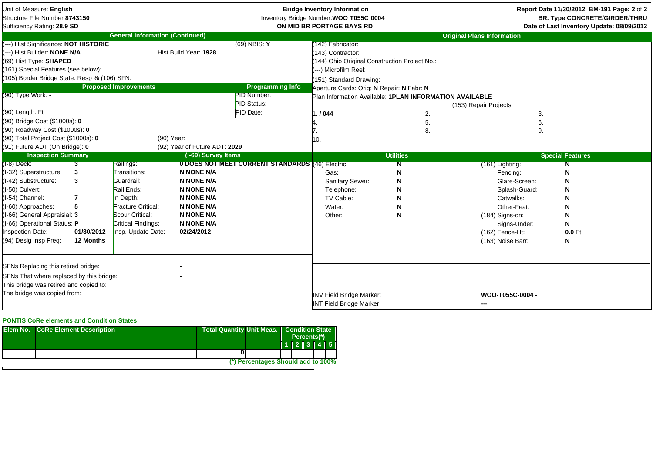| Unit of Measure: English<br>Structure File Number 8743150<br>Sufficiency Rating: 28.9 SD                                                                                                                                                                                                                                                  |                                                                        |                                                                                                                                                                |                                                                                                                                                               |                                                                                      | <b>Bridge Inventory Information</b><br>Inventory Bridge Number: WOO T055C 0004<br>ON MID BR PORTAGE BAYS RD                                                                                                                                                         |                                 |                                                                                                                                                                        | Report Date 11/30/2012 BM-191 Page: 2 of 2<br><b>BR. Type CONCRETE/GIRDER/THRU</b><br>Date of Last Inventory Update: 08/09/2012 |
|-------------------------------------------------------------------------------------------------------------------------------------------------------------------------------------------------------------------------------------------------------------------------------------------------------------------------------------------|------------------------------------------------------------------------|----------------------------------------------------------------------------------------------------------------------------------------------------------------|---------------------------------------------------------------------------------------------------------------------------------------------------------------|--------------------------------------------------------------------------------------|---------------------------------------------------------------------------------------------------------------------------------------------------------------------------------------------------------------------------------------------------------------------|---------------------------------|------------------------------------------------------------------------------------------------------------------------------------------------------------------------|---------------------------------------------------------------------------------------------------------------------------------|
|                                                                                                                                                                                                                                                                                                                                           |                                                                        | <b>General Information (Continued)</b>                                                                                                                         |                                                                                                                                                               |                                                                                      |                                                                                                                                                                                                                                                                     |                                 | <b>Original Plans Information</b>                                                                                                                                      |                                                                                                                                 |
| (---) Hist Significance: NOT HISTORIC<br>(---) Hist Builder: NONE N/A<br>(69) Hist Type: SHAPED<br>(161) Special Features (see below):<br>(105) Border Bridge State: Resp % (106) SFN:<br>(90) Type Work: -<br>(90) Length: Ft<br>(90) Bridge Cost (\$1000s): 0<br>(90) Roadway Cost (\$1000s): 0<br>(90) Total Project Cost (\$1000s): 0 |                                                                        | <b>Proposed Improvements</b><br>(90) Year:                                                                                                                     | Hist Build Year: 1928                                                                                                                                         | $(69)$ NBIS: Y<br><b>Programming Info</b><br>PID Number:<br>PID Status:<br>PID Date: | (142) Fabricator:<br>(143) Contractor:<br>(144) Ohio Original Construction Project No.:<br>(---) Microfilm Reel:<br>(151) Standard Drawing:<br>Aperture Cards: Orig: N Repair: N Fabr: N<br>Plan Information Available: 1PLAN INFORMATION AVAILABLE<br>.1044<br>10. | 2.<br>5.<br>8.                  | (153) Repair Projects<br>3.<br>6.<br>9.                                                                                                                                |                                                                                                                                 |
| (91) Future ADT (On Bridge): 0                                                                                                                                                                                                                                                                                                            |                                                                        |                                                                                                                                                                | (92) Year of Future ADT: 2029                                                                                                                                 |                                                                                      |                                                                                                                                                                                                                                                                     |                                 |                                                                                                                                                                        |                                                                                                                                 |
| <b>Inspection Summary</b>                                                                                                                                                                                                                                                                                                                 |                                                                        |                                                                                                                                                                | (I-69) Survey Items                                                                                                                                           |                                                                                      |                                                                                                                                                                                                                                                                     | <b>Utilities</b>                |                                                                                                                                                                        | <b>Special Features</b>                                                                                                         |
| $(I-8)$ Deck:<br>(I-32) Superstructure:<br>(I-42) Substructure:<br>(I-50) Culvert:<br>I-54) Channel:<br>(I-60) Approaches:<br>I-66) General Appraisial: 3<br>I-66) Operational Status: P<br>nspection Date:<br>(94) Desig Insp Freq:                                                                                                      | $\overline{\mathbf{3}}$<br>3<br>3<br>7<br>5<br>01/30/2012<br>12 Months | Railings:<br>Transitions:<br>Guardrail:<br>Rail Ends:<br>In Depth:<br><b>Fracture Critical:</b><br>Scour Critical:<br>Critical Findings:<br>Insp. Update Date: | <b>N NONE N/A</b><br><b>N NONE N/A</b><br><b>N NONE N/A</b><br><b>N NONE N/A</b><br><b>N NONE N/A</b><br><b>N NONE N/A</b><br><b>N NONE N/A</b><br>02/24/2012 | 0 DOES NOT MEET CURRENT STANDARDS (46) Electric:                                     | Gas:<br>Sanitary Sewer:<br>Telephone:<br>TV Cable:<br>Water:<br>Other:                                                                                                                                                                                              | N<br>N<br>N<br>N<br>N<br>N<br>N | (161) Lighting:<br>Fencing:<br>Glare-Screen:<br>Splash-Guard:<br>Catwalks:<br>Other-Feat:<br>$(184)$ Signs-on:<br>Signs-Under:<br>(162) Fence-Ht:<br>(163) Noise Barr: | N<br>N<br>N<br>N<br>N<br>N<br>N<br>N<br>$0.0$ Ft<br>N                                                                           |
| SFNs Replacing this retired bridge:<br>SFNs That where replaced by this bridge:<br>This bridge was retired and copied to:<br>The bridge was copied from:                                                                                                                                                                                  |                                                                        |                                                                                                                                                                |                                                                                                                                                               |                                                                                      | <b>INV Field Bridge Marker:</b><br><b>INT Field Bridge Marker:</b>                                                                                                                                                                                                  |                                 | WOO-T055C-0004 -<br>---                                                                                                                                                |                                                                                                                                 |

## **PONTIS CoRe elements and Condition States**

| <b>Elem No. CoRe Element Description</b> |  | <b>Total Quantity Unit Meas.</b>   | <b>Condition State</b><br>Percents(*) |  |  |  |           |
|------------------------------------------|--|------------------------------------|---------------------------------------|--|--|--|-----------|
|                                          |  |                                    |                                       |  |  |  | 1 2 3 4 5 |
|                                          |  |                                    |                                       |  |  |  |           |
|                                          |  | (*) Percentages Should add to 100% |                                       |  |  |  |           |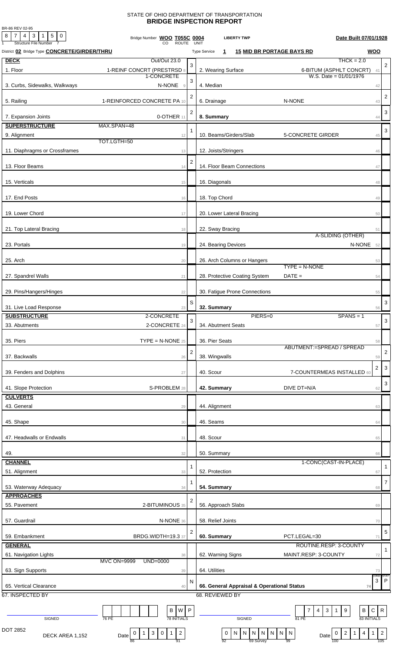## STATE OF OHIO DEPARTMENT OF TRANSPORTATION **BRIDGE INSPECTION REPORT**

BR-86 REV 02-95

| $8$   7   4   3   1   5   0<br><b>Structure File Number</b> | Bridge Number WOO T055C 0004<br><b>ROUTE</b>                                               |                | UNIT                     | <b>LIBERTY TWP</b>                         |                                     | Date Built 07/01/1928                                      |                |
|-------------------------------------------------------------|--------------------------------------------------------------------------------------------|----------------|--------------------------|--------------------------------------------|-------------------------------------|------------------------------------------------------------|----------------|
| District 02 Bridge Type <b>CONCRETE/GIRDER/THRU</b>         |                                                                                            |                | <b>Type Service</b><br>1 |                                            | <b>15 MID BR PORTAGE BAYS RD</b>    | <b>WOO</b>                                                 |                |
| <b>DECK</b>                                                 | Out/Out 23.0                                                                               |                |                          |                                            |                                     | $THCK = 2.0$                                               |                |
| 1. Floor                                                    | 1-REINF CONCRT (PRESTRSD 8                                                                 | 3              | 2. Wearing Surface       |                                            |                                     | 6-BITUM (ASPHLT CONCRT)<br>41                              | $\overline{2}$ |
|                                                             | 1-CONCRETE                                                                                 | 3              |                          |                                            |                                     | W.S. Date = $01/01/1976$                                   |                |
| 3. Curbs, Sidewalks, Walkways                               | N-NONE<br>$\overline{9}$                                                                   |                | 4. Median                |                                            |                                     | 42                                                         |                |
|                                                             |                                                                                            | $\overline{c}$ |                          |                                            |                                     |                                                            | $\overline{2}$ |
| 5. Railing                                                  | 1-REINFORCED CONCRETE PA 10                                                                |                | 6. Drainage              |                                            | N-NONE                              | 43                                                         |                |
| 7. Expansion Joints                                         | 0-OTHER 11                                                                                 | $\overline{c}$ | 8. Summary               |                                            |                                     | 44                                                         | $\sqrt{3}$     |
| <b>SUPERSTRUCTURE</b>                                       | MAX.SPAN=48                                                                                |                |                          |                                            |                                     |                                                            |                |
| 9. Alignment                                                | 12                                                                                         | 1              |                          | 10. Beams/Girders/Slab                     | <b>5-CONCRETE GIRDER</b>            | 45                                                         | 3              |
|                                                             | TOT.LGTH=50                                                                                |                |                          |                                            |                                     |                                                            |                |
| 11. Diaphragms or Crossframes                               | 13                                                                                         |                | 12. Joists/Stringers     |                                            |                                     | 46                                                         |                |
|                                                             |                                                                                            | $\overline{2}$ |                          |                                            |                                     |                                                            |                |
| 13. Floor Beams                                             | 14                                                                                         |                |                          | 14. Floor Beam Connections                 |                                     | 47                                                         |                |
|                                                             |                                                                                            |                |                          |                                            |                                     |                                                            |                |
| 15. Verticals                                               | 15                                                                                         |                | 16. Diagonals            |                                            |                                     | 48                                                         |                |
|                                                             |                                                                                            |                |                          |                                            |                                     |                                                            |                |
| 17. End Posts                                               | 16                                                                                         |                | 18. Top Chord            |                                            |                                     | 49                                                         |                |
| 19. Lower Chord                                             | 17                                                                                         |                |                          | 20. Lower Lateral Bracing                  |                                     | 50                                                         |                |
|                                                             |                                                                                            |                |                          |                                            |                                     |                                                            |                |
| 21. Top Lateral Bracing                                     | 18                                                                                         |                | 22. Sway Bracing         |                                            |                                     | 51                                                         |                |
|                                                             |                                                                                            |                |                          |                                            |                                     | A-SLIDING (OTHER)                                          |                |
| 23. Portals                                                 | 19                                                                                         |                | 24. Bearing Devices      |                                            |                                     | N-NONE 52                                                  |                |
|                                                             |                                                                                            |                |                          |                                            |                                     |                                                            |                |
| 25. Arch                                                    | 20                                                                                         |                |                          | 26. Arch Columns or Hangers                | $TYPE = N-NONE$                     | 53                                                         |                |
|                                                             |                                                                                            |                |                          |                                            | $DATE =$                            |                                                            |                |
| 27. Spandrel Walls                                          | 21                                                                                         |                |                          | 28. Protective Coating System              |                                     | 54                                                         |                |
| 29. Pins/Hangers/Hinges                                     | 22                                                                                         |                |                          | 30. Fatigue Prone Connections              |                                     | 55                                                         |                |
|                                                             |                                                                                            |                |                          |                                            |                                     |                                                            |                |
| 31. Live Load Response                                      | 23                                                                                         | S              | 32. Summary              |                                            |                                     | 56                                                         | 3              |
| <b>SUBSTRUCTURE</b>                                         | 2-CONCRETE                                                                                 |                |                          | PIERS=0                                    |                                     | $SPANS = 1$                                                |                |
| 33. Abutments                                               | 2-CONCRETE 24                                                                              | 3              | 34. Abutment Seats       |                                            |                                     | 57                                                         | $\sqrt{3}$     |
|                                                             |                                                                                            |                |                          |                                            |                                     |                                                            |                |
| 35. Piers                                                   | $\mathsf{TYPE} = \mathsf{N}\text{-}\mathsf{NONE}$ 25                                       |                | 36. Pier Seats           |                                            |                                     | 58                                                         |                |
|                                                             |                                                                                            | $\overline{2}$ |                          |                                            | ABUTMENT:=SPREAD / SPREAD           |                                                            | $\overline{2}$ |
| 37. Backwalls                                               | 26                                                                                         |                | 38. Wingwalls            |                                            |                                     | 59                                                         |                |
| 39. Fenders and Dolphins                                    | 27                                                                                         |                | 40. Scour                |                                            | 7-COUNTERMEAS INSTALLED 60          | $\overline{2}$                                             | $\mathbf{3}$   |
|                                                             |                                                                                            |                |                          |                                            |                                     |                                                            |                |
| 41. Slope Protection                                        | S-PROBLEM 28                                                                               |                | 42. Summary              |                                            | DIVE DT=N/A                         | 62                                                         | $\sqrt{3}$     |
| <b>CULVERTS</b>                                             |                                                                                            |                |                          |                                            |                                     |                                                            |                |
| 43. General                                                 | 29                                                                                         |                | 44. Alignment            |                                            |                                     | 63                                                         |                |
|                                                             |                                                                                            |                |                          |                                            |                                     |                                                            |                |
| 45. Shape                                                   | 30                                                                                         |                | 46. Seams                |                                            |                                     | 64                                                         |                |
|                                                             |                                                                                            |                |                          |                                            |                                     |                                                            |                |
| 47. Headwalls or Endwalls                                   | 31                                                                                         |                | 48. Scour                |                                            |                                     | 65                                                         |                |
|                                                             |                                                                                            |                |                          |                                            |                                     |                                                            |                |
| 49.                                                         | 32                                                                                         |                | 50. Summary              |                                            |                                     | 66<br>1-CONC(CAST-IN-PLACE)                                |                |
| <b>CHANNEL</b>                                              |                                                                                            | 1              |                          |                                            |                                     |                                                            | $\mathbf{1}$   |
| 51. Alignment                                               | 33                                                                                         |                | 52. Protection           |                                            |                                     | 67                                                         |                |
| 53. Waterway Adequacy                                       | 34                                                                                         | 1              | 54. Summary              |                                            |                                     | 68                                                         | $\overline{7}$ |
| <b>APPROACHES</b>                                           |                                                                                            |                |                          |                                            |                                     |                                                            |                |
| 55. Pavement                                                | 2-BITUMINOUS 35                                                                            | 2              | 56. Approach Slabs       |                                            |                                     | 69                                                         |                |
|                                                             |                                                                                            |                |                          |                                            |                                     |                                                            |                |
| 57. Guardrail                                               | N-NONE 36                                                                                  |                | 58. Relief Joints        |                                            |                                     | $70\,$                                                     |                |
|                                                             |                                                                                            | 2              |                          |                                            |                                     |                                                            | 5              |
| 59. Embankment                                              | BRDG.WIDTH=19.3 37                                                                         |                | 60. Summary              |                                            | PCT.LEGAL=30                        | 71                                                         |                |
| <b>GENERAL</b>                                              |                                                                                            |                |                          |                                            | ROUTINE.RESP: 3-COUNTY              |                                                            | $\mathbf{1}$   |
| 61. Navigation Lights                                       | 38                                                                                         |                | 62. Warning Signs        |                                            | MAINT.RESP: 3-COUNTY                | 72                                                         |                |
|                                                             | <b>MVC ON=9999</b><br>UND=0000                                                             |                |                          |                                            |                                     |                                                            |                |
| 63. Sign Supports                                           | 39                                                                                         |                | 64. Utilities            |                                            |                                     | 73<br>COND:                                                | STA1           |
|                                                             |                                                                                            | N              |                          |                                            |                                     | $\ensuremath{\mathsf{3}}$                                  | $\mathsf{P}$   |
| 65. Vertical Clearance                                      | 40                                                                                         |                |                          | 66. General Appraisal & Operational Status |                                     | 74                                                         |                |
| 67. INSPECTED BY                                            |                                                                                            |                | 68. REVIEWED BY          |                                            |                                     |                                                            |                |
|                                                             | W P<br>В                                                                                   |                |                          |                                            | 7<br>$\mathbf{3}$<br>$\overline{4}$ | B<br>${\bf C}$<br>9<br>1                                   | ${\sf R}$      |
| SIGNED                                                      | <b>78 INITIALS</b><br>76 PE                                                                |                |                          | SIGNED                                     | 81 PE                               | 83 INITIALS                                                |                |
| DOT 2852                                                    |                                                                                            |                |                          |                                            |                                     |                                                            |                |
| DECK AREA 1,152                                             | $\overline{c}$<br>$\mathbf{3}$<br>$\mathsf 0$<br>$\mathbf{1}$<br>0<br>$\mathbf{1}$<br>Date |                | $\mathbf 0$              | N N N                                      | N N<br>N<br>$\overline{N}$<br>Date  | $\overline{4}$<br>$\overline{2}$<br>$\mathbf{1}$<br>0<br>1 | $\overline{2}$ |
|                                                             | 91<br>86                                                                                   |                | 92                       | 69 Survey                                  | 99                                  | 100                                                        | 105            |